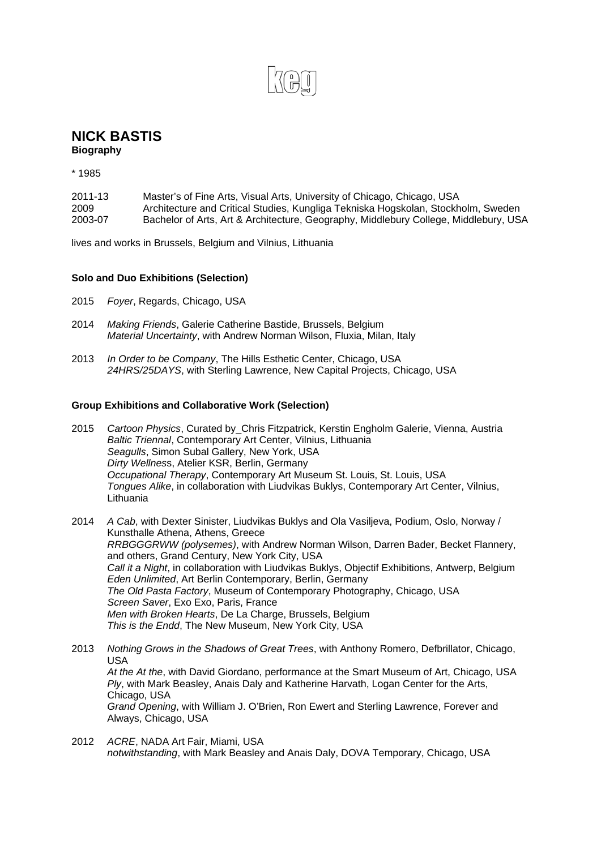## **NICK BASTIS**

**Biography** 

\* 1985

| 2011-13 | Master's of Fine Arts, Visual Arts, University of Chicago, Chicago, USA              |
|---------|--------------------------------------------------------------------------------------|
| 2009    | Architecture and Critical Studies, Kungliga Tekniska Hogskolan, Stockholm, Sweden    |
| 2003-07 | Bachelor of Arts, Art & Architecture, Geography, Middlebury College, Middlebury, USA |

lives and works in Brussels, Belgium and Vilnius, Lithuania

## **Solo and Duo Exhibitions (Selection)**

- 2015 *Foyer*, Regards, Chicago, USA
- 2014 *Making Friends*, Galerie Catherine Bastide, Brussels, Belgium *Material Uncertainty*, with Andrew Norman Wilson, Fluxia, Milan, Italy
- 2013 *In Order to be Company*, The Hills Esthetic Center, Chicago, USA *24HRS/25DAYS*, with Sterling Lawrence, New Capital Projects, Chicago, USA

## **Group Exhibitions and Collaborative Work (Selection)**

- 2015 *Cartoon Physics*, Curated by\_Chris Fitzpatrick, Kerstin Engholm Galerie, Vienna, Austria *Baltic Triennal*, Contemporary Art Center, Vilnius, Lithuania *Seagulls*, Simon Subal Gallery, New York, USA *Dirty Wellnes*s, Atelier KSR, Berlin, Germany *Occupational Therapy*, Contemporary Art Museum St. Louis, St. Louis, USA *Tongues Alike*, in collaboration with Liudvikas Buklys, Contemporary Art Center, Vilnius, **Lithuania**
- 2014 *A Cab*, with Dexter Sinister, Liudvikas Buklys and Ola Vasiljeva, Podium, Oslo, Norway / Kunsthalle Athena, Athens, Greece *RRBGGGRWW (polysemes)*, with Andrew Norman Wilson, Darren Bader, Becket Flannery, and others, Grand Century, New York City, USA *Call it a Night*, in collaboration with Liudvikas Buklys, Objectif Exhibitions, Antwerp, Belgium *Eden Unlimited*, Art Berlin Contemporary, Berlin, Germany *The Old Pasta Factory*, Museum of Contemporary Photography, Chicago, USA *Screen Saver*, Exo Exo, Paris, France *Men with Broken Hearts*, De La Charge, Brussels, Belgium *This is the Endd*, The New Museum, New York City, USA
- 2013 *Nothing Grows in the Shadows of Great Trees*, with Anthony Romero, Defbrillator, Chicago, USA *At the At the*, with David Giordano, performance at the Smart Museum of Art, Chicago, USA *Ply*, with Mark Beasley, Anais Daly and Katherine Harvath, Logan Center for the Arts, Chicago, USA *Grand Opening*, with William J. O'Brien, Ron Ewert and Sterling Lawrence, Forever and Always, Chicago, USA
- 2012 *ACRE*, NADA Art Fair, Miami, USA *notwithstanding*, with Mark Beasley and Anais Daly, DOVA Temporary, Chicago, USA